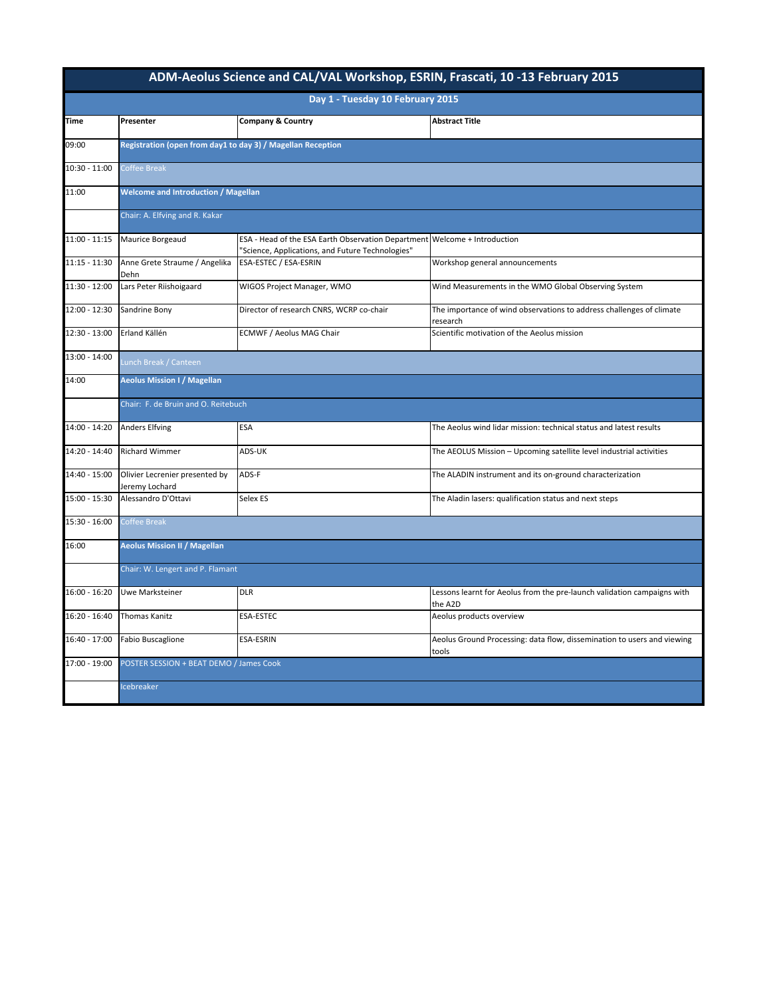| ADM-Aeolus Science and CAL/VAL Workshop, ESRIN, Frascati, 10-13 February 2015 |                                                                           |                                                                                                                               |                                                                                    |  |  |  |  |
|-------------------------------------------------------------------------------|---------------------------------------------------------------------------|-------------------------------------------------------------------------------------------------------------------------------|------------------------------------------------------------------------------------|--|--|--|--|
| Day 1 - Tuesday 10 February 2015                                              |                                                                           |                                                                                                                               |                                                                                    |  |  |  |  |
| <b>Time</b>                                                                   | Presenter                                                                 | <b>Company &amp; Country</b>                                                                                                  | <b>Abstract Title</b>                                                              |  |  |  |  |
| 09:00                                                                         |                                                                           | Registration (open from day1 to day 3) / Magellan Reception                                                                   |                                                                                    |  |  |  |  |
| 10:30 - 11:00                                                                 | Coffee Break                                                              |                                                                                                                               |                                                                                    |  |  |  |  |
| 11:00                                                                         | <b>Welcome and Introduction / Magellan</b>                                |                                                                                                                               |                                                                                    |  |  |  |  |
|                                                                               | Chair: A. Elfving and R. Kakar                                            |                                                                                                                               |                                                                                    |  |  |  |  |
| $11:00 - 11:15$                                                               | Maurice Borgeaud                                                          | ESA - Head of the ESA Earth Observation Department Welcome + Introduction<br>'Science, Applications, and Future Technologies" |                                                                                    |  |  |  |  |
| $11:15 - 11:30$                                                               | Anne Grete Straume / Angelika<br>Dehn                                     | ESA-ESTEC / ESA-ESRIN                                                                                                         | Workshop general announcements                                                     |  |  |  |  |
| $11:30 - 12:00$                                                               | Lars Peter Riishoigaard                                                   | WIGOS Project Manager, WMO                                                                                                    | Wind Measurements in the WMO Global Observing System                               |  |  |  |  |
| 12:00 - 12:30                                                                 | Sandrine Bony                                                             | Director of research CNRS, WCRP co-chair                                                                                      | The importance of wind observations to address challenges of climate<br>research   |  |  |  |  |
| ŀ<br>12:30 - 13:00                                                            | Erland Källén                                                             | ECMWF / Aeolus MAG Chair                                                                                                      | Scientific motivation of the Aeolus mission                                        |  |  |  |  |
| 13:00 - 14:00                                                                 | Lunch Break / Canteen                                                     |                                                                                                                               |                                                                                    |  |  |  |  |
| 14:00                                                                         | <b>Aeolus Mission I / Magellan</b><br>Chair: F. de Bruin and O. Reitebuch |                                                                                                                               |                                                                                    |  |  |  |  |
|                                                                               |                                                                           |                                                                                                                               |                                                                                    |  |  |  |  |
| 14:00 - 14:20                                                                 | <b>Anders Elfving</b>                                                     | ESA                                                                                                                           | The Aeolus wind lidar mission: technical status and latest results                 |  |  |  |  |
| 14:20 - 14:40                                                                 | <b>Richard Wimmer</b>                                                     | ADS-UK                                                                                                                        | The AEOLUS Mission - Upcoming satellite level industrial activities                |  |  |  |  |
| 14:40 - 15:00                                                                 | Olivier Lecrenier presented by<br>Jeremy Lochard                          | ADS-F                                                                                                                         | The ALADIN instrument and its on-ground characterization                           |  |  |  |  |
| $15:00 - 15:30$                                                               | Alessandro D'Ottavi                                                       | Selex ES                                                                                                                      | The Aladin lasers: qualification status and next steps                             |  |  |  |  |
| 15:30 - 16:00                                                                 | Coffee Break                                                              |                                                                                                                               |                                                                                    |  |  |  |  |
| 16:00                                                                         | <b>Aeolus Mission II / Magellan</b><br>Chair: W. Lengert and P. Flamant   |                                                                                                                               |                                                                                    |  |  |  |  |
|                                                                               |                                                                           |                                                                                                                               |                                                                                    |  |  |  |  |
| $16:00 - 16:20$                                                               | Uwe Marksteiner                                                           | <b>DLR</b>                                                                                                                    | Lessons learnt for Aeolus from the pre-launch validation campaigns with<br>the A2D |  |  |  |  |
| 16:20 - 16:40                                                                 | <b>Thomas Kanitz</b>                                                      | <b>ESA-ESTEC</b>                                                                                                              | Aeolus products overview                                                           |  |  |  |  |
| 16:40 - 17:00                                                                 | <b>Fabio Buscaglione</b>                                                  | ESA-ESRIN                                                                                                                     | Aeolus Ground Processing: data flow, dissemination to users and viewing<br>tools   |  |  |  |  |
| $17:00 - 19:00$                                                               | POSTER SESSION + BEAT DEMO / James Cook                                   |                                                                                                                               |                                                                                    |  |  |  |  |
|                                                                               | Icebreaker                                                                |                                                                                                                               |                                                                                    |  |  |  |  |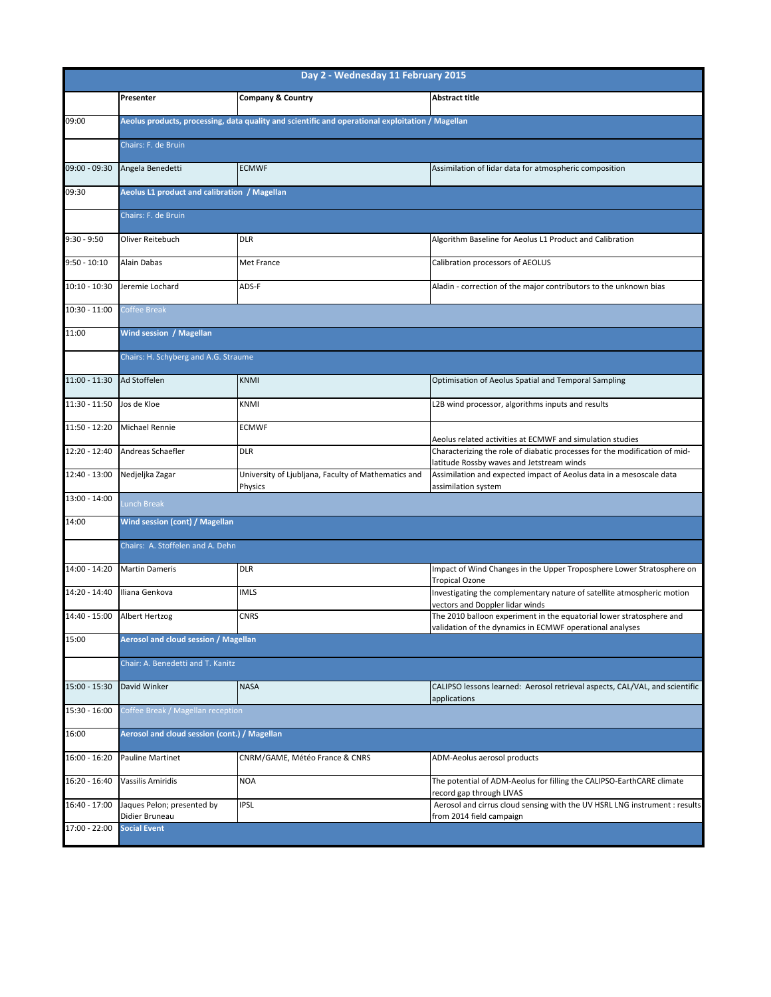| Day 2 - Wednesday 11 February 2015 |                                                                                                  |                                                                |                                                                                                                                  |  |  |  |
|------------------------------------|--------------------------------------------------------------------------------------------------|----------------------------------------------------------------|----------------------------------------------------------------------------------------------------------------------------------|--|--|--|
|                                    | Presenter                                                                                        | <b>Company &amp; Country</b>                                   | <b>Abstract title</b>                                                                                                            |  |  |  |
| 09:00                              | Aeolus products, processing, data quality and scientific and operational exploitation / Magellan |                                                                |                                                                                                                                  |  |  |  |
|                                    | Chairs: F. de Bruin                                                                              |                                                                |                                                                                                                                  |  |  |  |
| 09:00 - 09:30                      | Angela Benedetti                                                                                 | <b>ECMWF</b>                                                   | Assimilation of lidar data for atmospheric composition                                                                           |  |  |  |
| 09:30                              | Aeolus L1 product and calibration / Magellan                                                     |                                                                |                                                                                                                                  |  |  |  |
|                                    | Chairs: F. de Bruin                                                                              |                                                                |                                                                                                                                  |  |  |  |
| $9:30 - 9:50$                      | Oliver Reitebuch                                                                                 | <b>DLR</b>                                                     | Algorithm Baseline for Aeolus L1 Product and Calibration                                                                         |  |  |  |
| $9:50 - 10:10$                     | Alain Dabas                                                                                      | Met France                                                     | Calibration processors of AEOLUS                                                                                                 |  |  |  |
| 10:10 - 10:30                      | Jeremie Lochard                                                                                  | ADS-F                                                          | Aladin - correction of the major contributors to the unknown bias                                                                |  |  |  |
| 10:30 - 11:00                      | Coffee Break                                                                                     |                                                                |                                                                                                                                  |  |  |  |
| 11:00                              | Wind session / Magellan<br>Chairs: H. Schyberg and A.G. Straume                                  |                                                                |                                                                                                                                  |  |  |  |
|                                    |                                                                                                  |                                                                |                                                                                                                                  |  |  |  |
| 11:00 - 11:30                      | Ad Stoffelen                                                                                     | KNMI                                                           | Optimisation of Aeolus Spatial and Temporal Sampling                                                                             |  |  |  |
| 11:30 - 11:50                      | Jos de Kloe                                                                                      | KNMI                                                           | L2B wind processor, algorithms inputs and results                                                                                |  |  |  |
| 11:50 - 12:20                      | <b>Michael Rennie</b>                                                                            | <b>ECMWF</b>                                                   | Aeolus related activities at ECMWF and simulation studies                                                                        |  |  |  |
| 12:20 - 12:40                      | Andreas Schaefler                                                                                | <b>DLR</b>                                                     | Characterizing the role of diabatic processes for the modification of mid-<br>latitude Rossby waves and Jetstream winds          |  |  |  |
| 12:40 - 13:00                      | Nedjeljka Zagar                                                                                  | University of Ljubljana, Faculty of Mathematics and<br>Physics | Assimilation and expected impact of Aeolus data in a mesoscale data<br>assimilation system                                       |  |  |  |
| 13:00 - 14:00                      | Lunch Break                                                                                      |                                                                |                                                                                                                                  |  |  |  |
| 14:00                              | Wind session (cont) / Magellan                                                                   |                                                                |                                                                                                                                  |  |  |  |
|                                    |                                                                                                  | Chairs: A. Stoffelen and A. Dehn                               |                                                                                                                                  |  |  |  |
| 14:00 - 14:20                      | <b>Martin Dameris</b>                                                                            | <b>DLR</b>                                                     | Impact of Wind Changes in the Upper Troposphere Lower Stratosphere on<br><b>Tropical Ozone</b>                                   |  |  |  |
| 14:20 - 14:40                      | Iliana Genkova                                                                                   | <b>IMLS</b>                                                    | Investigating the complementary nature of satellite atmospheric motion<br>vectors and Doppler lidar winds                        |  |  |  |
| 14:40 - 15:00                      | Albert Hertzog                                                                                   | CNRS                                                           | The 2010 balloon experiment in the equatorial lower stratosphere and<br>validation of the dynamics in ECMWF operational analyses |  |  |  |
| 15:00                              | Aerosol and cloud session / Magellan                                                             |                                                                |                                                                                                                                  |  |  |  |
|                                    | Chair: A. Benedetti and T. Kanitz                                                                |                                                                |                                                                                                                                  |  |  |  |
| 15:00 - 15:30                      | David Winker                                                                                     | <b>NASA</b>                                                    | CALIPSO lessons learned: Aerosol retrieval aspects, CAL/VAL, and scientific<br>applications                                      |  |  |  |
| 15:30 - 16:00                      | Coffee Break / Magellan reception                                                                |                                                                |                                                                                                                                  |  |  |  |
| 16:00                              | Aerosol and cloud session (cont.) / Magellan                                                     |                                                                |                                                                                                                                  |  |  |  |
| 16:00 - 16:20                      | Pauline Martinet                                                                                 | CNRM/GAME, Météo France & CNRS                                 | ADM-Aeolus aerosol products                                                                                                      |  |  |  |
| 16:20 - 16:40                      | Vassilis Amiridis                                                                                | <b>NOA</b>                                                     | The potential of ADM-Aeolus for filling the CALIPSO-EarthCARE climate<br>record gap through LIVAS                                |  |  |  |
| 16:40 - 17:00                      | Jaques Pelon; presented by<br>Didier Bruneau                                                     | IPSL                                                           | Aerosol and cirrus cloud sensing with the UV HSRL LNG instrument : results<br>from 2014 field campaign                           |  |  |  |
| 17:00 - 22:00                      | <b>Social Event</b>                                                                              |                                                                |                                                                                                                                  |  |  |  |